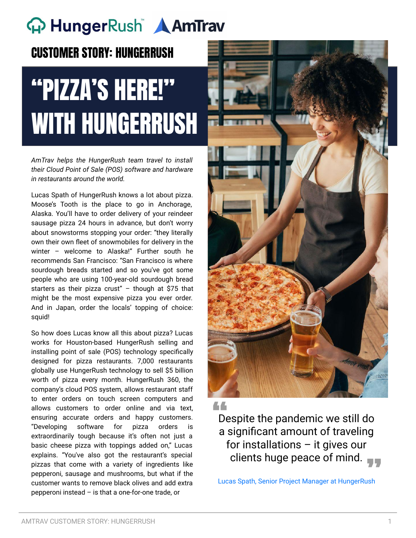# **A** HungerRush **AmTrav**

#### CUSTOMER STORY: HUNGERRUSH

# "PIZZA'S HERE!" WITH HUNGERRUSH

*AmTrav helps the HungerRush team travel to install their Cloud Point of Sale (POS) software and hardware in restaurants around the world.*

Lucas Spath of HungerRush knows a lot about pizza. Moose's Tooth is the place to go in Anchorage, Alaska. You'll have to order delivery of your reindeer sausage pizza 24 hours in advance, but don't worry about snowstorms stopping your order: "they literally own their own fleet of snowmobiles for delivery in the winter – welcome to Alaska!" Further south he recommends San Francisco: "San Francisco is where sourdough breads started and so you've got some people who are using 100-year-old sourdough bread starters as their pizza crust" – though at \$75 that might be the most expensive pizza you ever order. And in Japan, order the locals' topping of choice: squid!

So how does Lucas know all this about pizza? Lucas works for Houston-based HungerRush selling and installing point of sale (POS) technology specifically designed for pizza restaurants. 7,000 restaurants globally use HungerRush technology to sell \$5 billion worth of pizza every month. HungerRush 360, the company's cloud POS system, allows restaurant staff to enter orders on touch screen computers and allows customers to order online and via text, ensuring accurate orders and happy customers. "Developing software for pizza orders is extraordinarily tough because it's often not just a basic cheese pizza with toppings added on," Lucas explains. "You've also got the restaurant's special pizzas that come with a variety of ingredients like pepperoni, sausage and mushrooms, but what if the customer wants to remove black olives and add extra pepperoni instead – is that a one-for-one trade, or



Despite the pandemic we still do **A significant amount of traveling**<br>a significant amount of traveling for installations – it gives our clients huge peace of mind.

Lucas Spath, Senior Project Manager at HungerRush 77<br><sub>ISh</sub>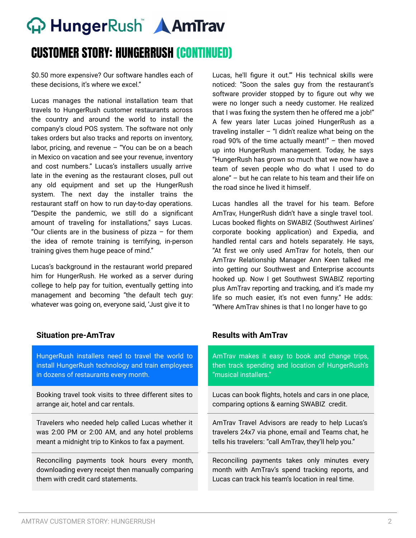# **A** HungerRush **AmTrav**

### CUSTOMER STORY: HUNGERRUSH (CONTINUED)

\$0.50 more expensive? Our software handles each of these decisions, it's where we excel."

Lucas manages the national installation team that travels to HungerRush customer restaurants across the country and around the world to install the company's cloud POS system. The software not only takes orders but also tracks and reports on inventory, labor, pricing, and revenue – "You can be on a beach in Mexico on vacation and see your revenue, inventory and cost numbers." Lucas's installers usually arrive late in the evening as the restaurant closes, pull out any old equipment and set up the HungerRush system. The next day the installer trains the restaurant staff on how to run day-to-day operations. "Despite the pandemic, we still do a significant amount of traveling for installations," says Lucas. "Our clients are in the business of pizza – for them the idea of remote training is terrifying, in-person training gives them huge peace of mind."

Lucas's background in the restaurant world prepared him for HungerRush. He worked as a server during college to help pay for tuition, eventually getting into management and becoming "the default tech guy: whatever was going on, everyone said, 'Just give it to

#### **Situation pre-AmTrav Results with AmTrav**

HungerRush installers need to travel the world to install HungerRush technology and train employees in dozens of restaurants every month.

Booking travel took visits to three different sites to arrange air, hotel and car rentals.

Travelers who needed help called Lucas whether it was 2:00 PM or 2:00 AM, and any hotel problems meant a midnight trip to Kinkos to fax a payment.

Reconciling payments took hours every month, downloading every receipt then manually comparing them with credit card statements.

Lucas, he'll figure it out.'" His technical skills were noticed: "Soon the sales guy from the restaurant's software provider stopped by to figure out why we were no longer such a needy customer. He realized that I was fixing the system then he offered me a job!" A few years later Lucas joined HungerRush as a traveling installer – "I didn't realize what being on the road 90% of the time actually meant!" – then moved up into HungerRush management. Today, he says "HungerRush has grown so much that we now have a team of seven people who do what I used to do alone" – but he can relate to his team and their life on the road since he lived it himself.

Lucas handles all the travel for his team. Before AmTrav, HungerRush didn't have a single travel tool. Lucas booked flights on SWABIZ (Southwest Airlines' corporate booking application) and Expedia, and handled rental cars and hotels separately. He says, "At first we only used AmTrav for hotels, then our AmTrav Relationship Manager Ann Keen talked me into getting our Southwest and Enterprise accounts hooked up. Now I get Southwest SWABIZ reporting plus AmTrav reporting and tracking, and it's made my life so much easier, it's not even funny." He adds: "Where AmTrav shines is that I no longer have to go

AmTrav makes it easy to book and change trips, then track spending and location of HungerRush's "musical installers."

Lucas can book flights, hotels and cars in one place, comparing options & earning SWABIZ credit.

AmTrav Travel Advisors are ready to help Lucas's travelers 24x7 via phone, email and Teams chat, he tells his travelers: "call AmTrav, they'll help you."

Reconciling payments takes only minutes every month with AmTrav's spend tracking reports, and Lucas can track his team's location in real time.